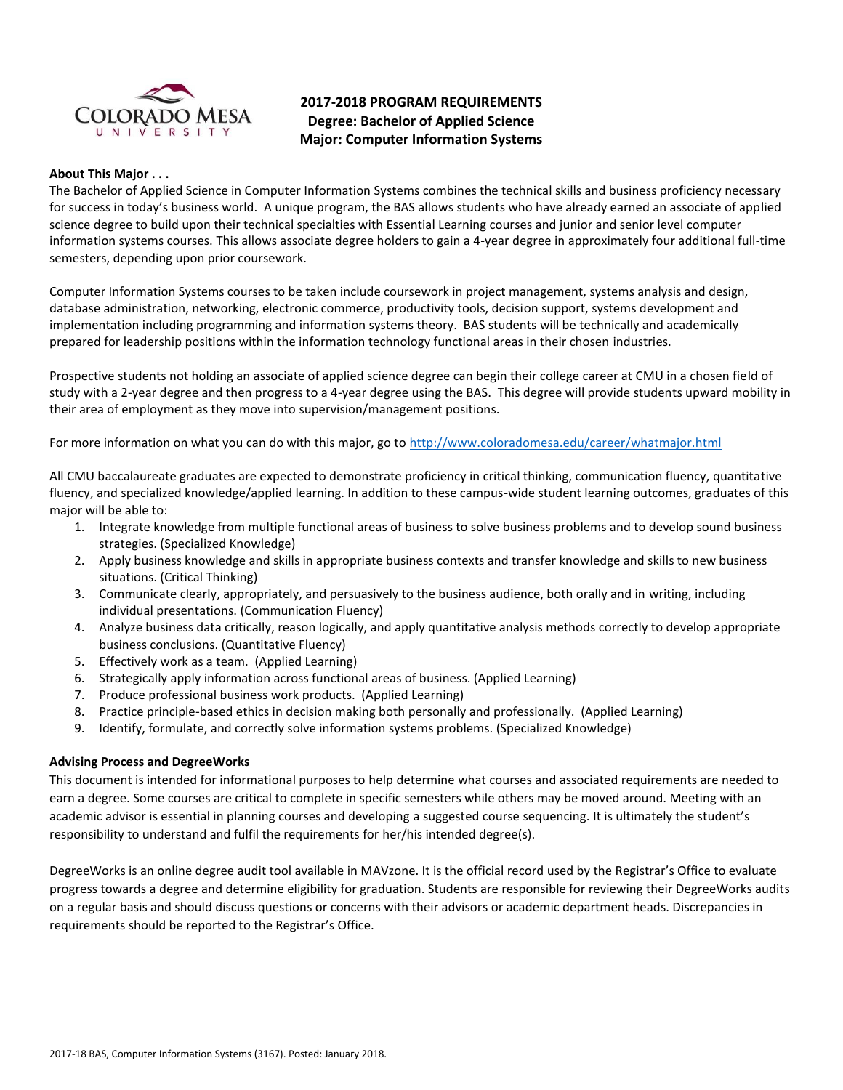

# **2017-2018 PROGRAM REQUIREMENTS Degree: Bachelor of Applied Science Major: Computer Information Systems**

#### **About This Major . . .**

The Bachelor of Applied Science in Computer Information Systems combines the technical skills and business proficiency necessary for success in today's business world. A unique program, the BAS allows students who have already earned an associate of applied science degree to build upon their technical specialties with Essential Learning courses and junior and senior level computer information systems courses. This allows associate degree holders to gain a 4-year degree in approximately four additional full-time semesters, depending upon prior coursework.

Computer Information Systems courses to be taken include coursework in project management, systems analysis and design, database administration, networking, electronic commerce, productivity tools, decision support, systems development and implementation including programming and information systems theory. BAS students will be technically and academically prepared for leadership positions within the information technology functional areas in their chosen industries.

Prospective students not holding an associate of applied science degree can begin their college career at CMU in a chosen field of study with a 2-year degree and then progress to a 4-year degree using the BAS. This degree will provide students upward mobility in their area of employment as they move into supervision/management positions.

For more information on what you can do with this major, go to<http://www.coloradomesa.edu/career/whatmajor.html>

All CMU baccalaureate graduates are expected to demonstrate proficiency in critical thinking, communication fluency, quantitative fluency, and specialized knowledge/applied learning. In addition to these campus-wide student learning outcomes, graduates of this major will be able to:

- 1. Integrate knowledge from multiple functional areas of business to solve business problems and to develop sound business strategies. (Specialized Knowledge)
- 2. Apply business knowledge and skills in appropriate business contexts and transfer knowledge and skills to new business situations. (Critical Thinking)
- 3. Communicate clearly, appropriately, and persuasively to the business audience, both orally and in writing, including individual presentations. (Communication Fluency)
- 4. Analyze business data critically, reason logically, and apply quantitative analysis methods correctly to develop appropriate business conclusions. (Quantitative Fluency)
- 5. Effectively work as a team. (Applied Learning)
- 6. Strategically apply information across functional areas of business. (Applied Learning)
- 7. Produce professional business work products. (Applied Learning)
- 8. Practice principle-based ethics in decision making both personally and professionally. (Applied Learning)
- 9. Identify, formulate, and correctly solve information systems problems. (Specialized Knowledge)

#### **Advising Process and DegreeWorks**

This document is intended for informational purposes to help determine what courses and associated requirements are needed to earn a degree. Some courses are critical to complete in specific semesters while others may be moved around. Meeting with an academic advisor is essential in planning courses and developing a suggested course sequencing. It is ultimately the student's responsibility to understand and fulfil the requirements for her/his intended degree(s).

DegreeWorks is an online degree audit tool available in MAVzone. It is the official record used by the Registrar's Office to evaluate progress towards a degree and determine eligibility for graduation. Students are responsible for reviewing their DegreeWorks audits on a regular basis and should discuss questions or concerns with their advisors or academic department heads. Discrepancies in requirements should be reported to the Registrar's Office.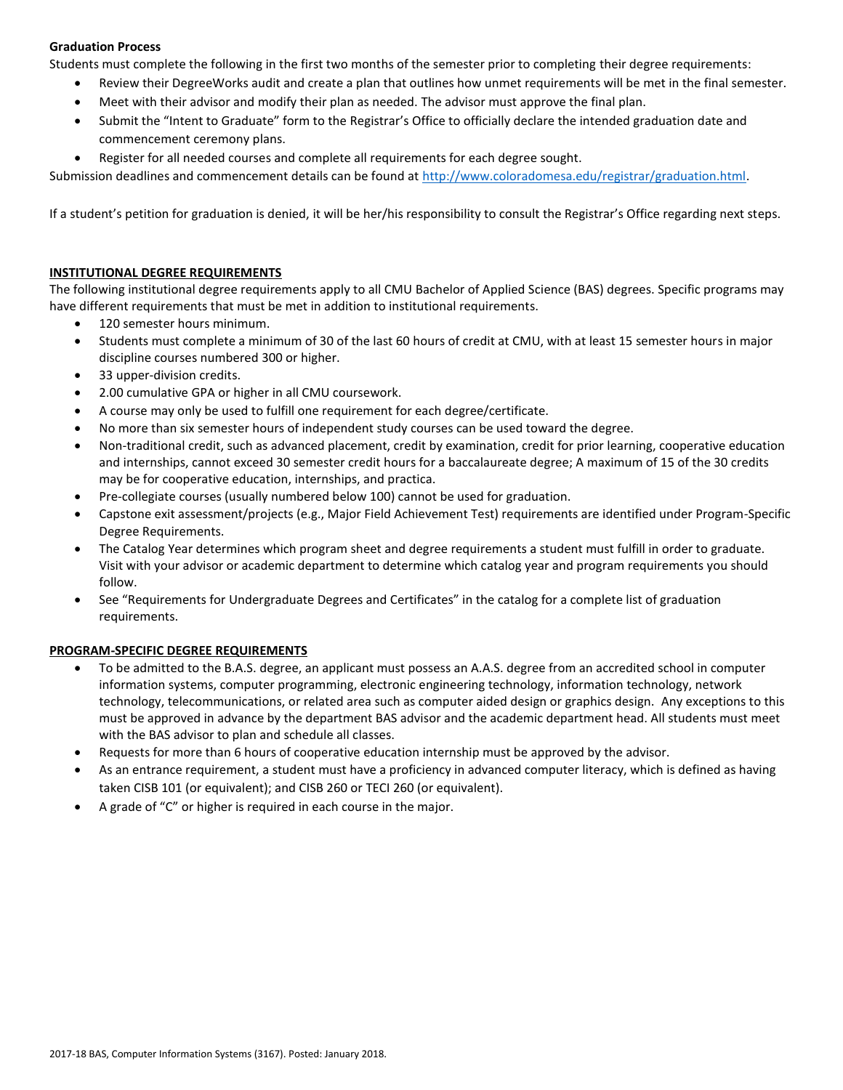# **Graduation Process**

Students must complete the following in the first two months of the semester prior to completing their degree requirements:

- Review their DegreeWorks audit and create a plan that outlines how unmet requirements will be met in the final semester.
- Meet with their advisor and modify their plan as needed. The advisor must approve the final plan.
- Submit the "Intent to Graduate" form to the Registrar's Office to officially declare the intended graduation date and commencement ceremony plans.
- Register for all needed courses and complete all requirements for each degree sought.

Submission deadlines and commencement details can be found at [http://www.coloradomesa.edu/registrar/graduation.html.](http://www.coloradomesa.edu/registrar/graduation.html)

If a student's petition for graduation is denied, it will be her/his responsibility to consult the Registrar's Office regarding next steps.

### **INSTITUTIONAL DEGREE REQUIREMENTS**

The following institutional degree requirements apply to all CMU Bachelor of Applied Science (BAS) degrees. Specific programs may have different requirements that must be met in addition to institutional requirements.

- 120 semester hours minimum.
- Students must complete a minimum of 30 of the last 60 hours of credit at CMU, with at least 15 semester hours in major discipline courses numbered 300 or higher.
- 33 upper-division credits.
- 2.00 cumulative GPA or higher in all CMU coursework.
- A course may only be used to fulfill one requirement for each degree/certificate.
- No more than six semester hours of independent study courses can be used toward the degree.
- Non-traditional credit, such as advanced placement, credit by examination, credit for prior learning, cooperative education and internships, cannot exceed 30 semester credit hours for a baccalaureate degree; A maximum of 15 of the 30 credits may be for cooperative education, internships, and practica.
- Pre-collegiate courses (usually numbered below 100) cannot be used for graduation.
- Capstone exit assessment/projects (e.g., Major Field Achievement Test) requirements are identified under Program-Specific Degree Requirements.
- The Catalog Year determines which program sheet and degree requirements a student must fulfill in order to graduate. Visit with your advisor or academic department to determine which catalog year and program requirements you should follow.
- See "Requirements for Undergraduate Degrees and Certificates" in the catalog for a complete list of graduation requirements.

#### **PROGRAM-SPECIFIC DEGREE REQUIREMENTS**

- To be admitted to the B.A.S. degree, an applicant must possess an A.A.S. degree from an accredited school in computer information systems, computer programming, electronic engineering technology, information technology, network technology, telecommunications, or related area such as computer aided design or graphics design. Any exceptions to this must be approved in advance by the department BAS advisor and the academic department head. All students must meet with the BAS advisor to plan and schedule all classes.
- Requests for more than 6 hours of cooperative education internship must be approved by the advisor.
- As an entrance requirement, a student must have a proficiency in advanced computer literacy, which is defined as having taken CISB 101 (or equivalent); and CISB 260 or TECI 260 (or equivalent).
- A grade of "C" or higher is required in each course in the major.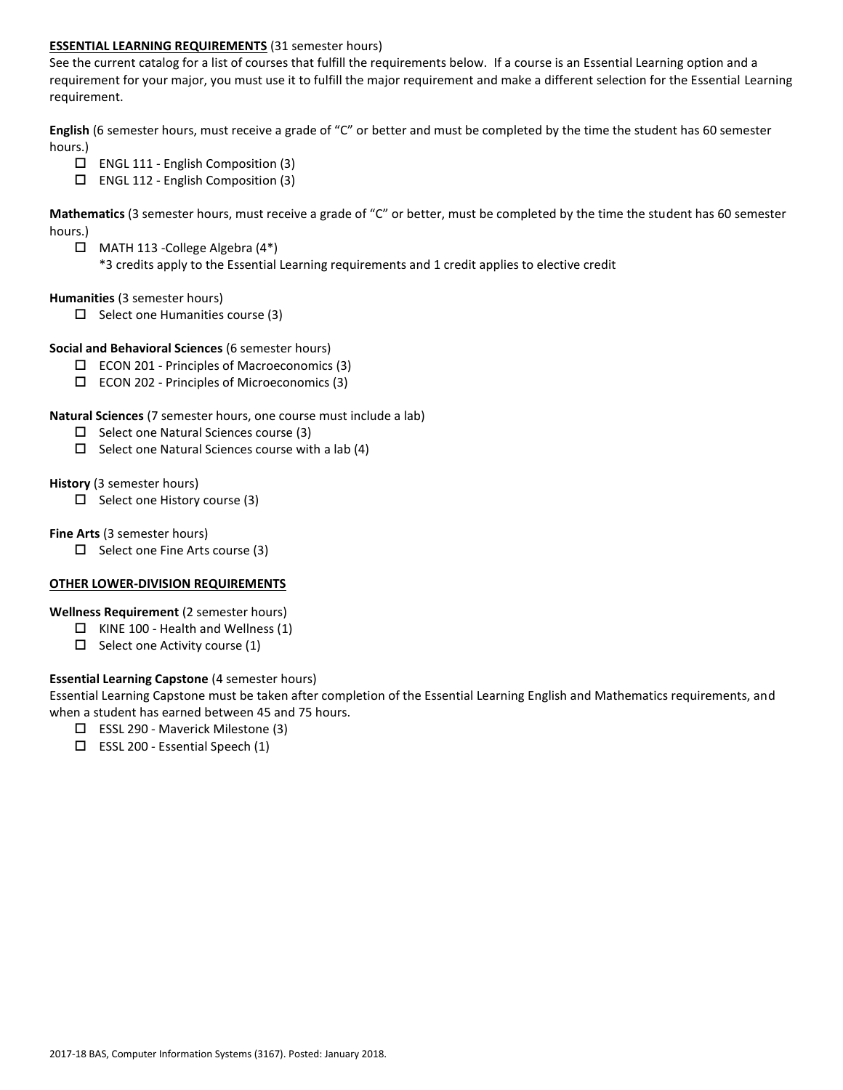### **ESSENTIAL LEARNING REQUIREMENTS** (31 semester hours)

See the current catalog for a list of courses that fulfill the requirements below. If a course is an Essential Learning option and a requirement for your major, you must use it to fulfill the major requirement and make a different selection for the Essential Learning requirement.

**English** (6 semester hours, must receive a grade of "C" or better and must be completed by the time the student has 60 semester hours.)

- $\Box$  ENGL 111 English Composition (3)
- ENGL 112 English Composition (3)

**Mathematics** (3 semester hours, must receive a grade of "C" or better, must be completed by the time the student has 60 semester hours.)

 MATH 113 -College Algebra (4\*) \*3 credits apply to the Essential Learning requirements and 1 credit applies to elective credit

#### **Humanities** (3 semester hours)

 $\Box$  Select one Humanities course (3)

### **Social and Behavioral Sciences** (6 semester hours)

- $\square$  ECON 201 Principles of Macroeconomics (3)
- $\square$  ECON 202 Principles of Microeconomics (3)

### **Natural Sciences** (7 semester hours, one course must include a lab)

- $\Box$  Select one Natural Sciences course (3)
- $\Box$  Select one Natural Sciences course with a lab (4)

#### **History** (3 semester hours)

 $\square$  Select one History course (3)

### **Fine Arts** (3 semester hours)

 $\Box$  Select one Fine Arts course (3)

# **OTHER LOWER-DIVISION REQUIREMENTS**

# **Wellness Requirement** (2 semester hours)

- $\Box$  KINE 100 Health and Wellness (1)
- $\Box$  Select one Activity course (1)

# **Essential Learning Capstone** (4 semester hours)

Essential Learning Capstone must be taken after completion of the Essential Learning English and Mathematics requirements, and when a student has earned between 45 and 75 hours.

- $\Box$  ESSL 290 Maverick Milestone (3)
- $\square$  ESSL 200 Essential Speech (1)